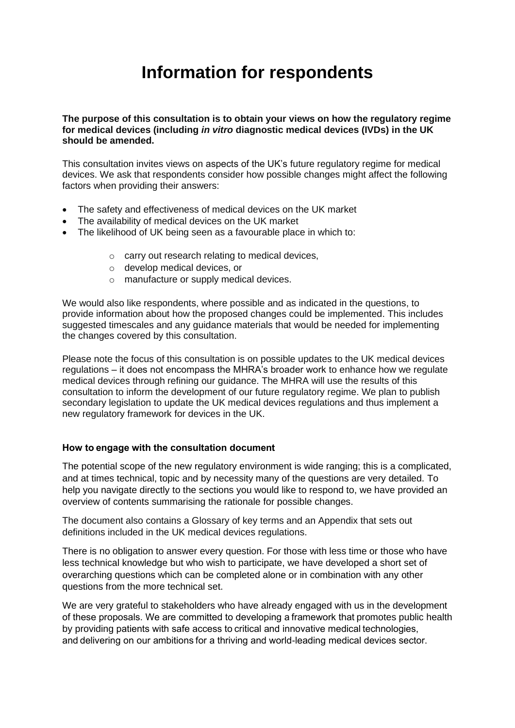## **Information for respondents**

**The purpose of this consultation is to obtain your views on how the regulatory regime for medical devices (including** *in vitro* **diagnostic medical devices (IVDs) in the UK should be amended.**

This consultation invites views on aspects of the UK's future regulatory regime for medical devices. We ask that respondents consider how possible changes might affect the following factors when providing their answers:

- The safety and effectiveness of medical devices on the UK market
- The availability of medical devices on the UK market
- The likelihood of UK being seen as a favourable place in which to:
	- o carry out research relating to medical devices,
	- o develop medical devices, or
	- o manufacture or supply medical devices.

We would also like respondents, where possible and as indicated in the questions, to provide information about how the proposed changes could be implemented. This includes suggested timescales and any guidance materials that would be needed for implementing the changes covered by this consultation.

Please note the focus of this consultation is on possible updates to the UK medical devices regulations – it does not encompass the MHRA's broader work to enhance how we regulate medical devices through refining our guidance. The MHRA will use the results of this consultation to inform the development of our future regulatory regime. We plan to publish secondary legislation to update the UK medical devices regulations and thus implement a new regulatory framework for devices in the UK.

## **How to engage with the consultation document**

The potential scope of the new regulatory environment is wide ranging; this is a complicated, and at times technical, topic and by necessity many of the questions are very detailed. To help you navigate directly to the sections you would like to respond to, we have provided an overview of contents summarising the rationale for possible changes.

The document also contains a Glossary of key terms and an Appendix that sets out definitions included in the UK medical devices regulations.

There is no obligation to answer every question. For those with less time or those who have less technical knowledge but who wish to participate, we have developed a short set of overarching questions which can be completed alone or in combination with any other questions from the more technical set.

We are very grateful to stakeholders who have already engaged with us in the development of these proposals. We are committed to developing a framework that promotes public health by providing patients with safe access to critical and innovative medical technologies, and delivering on our ambitions for a thriving and world-leading medical devices sector.